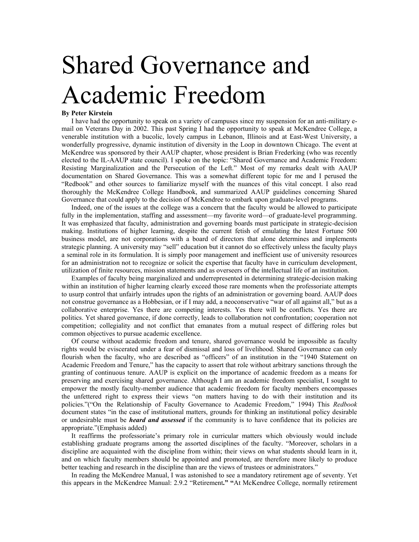## Shared Governance and Academic Freedom

## **By Peter Kirstein**

I have had the opportunity to speak on a variety of campuses since my suspension for an anti-military email on Veterans Day in 2002. This past Spring I had the opportunity to speak at McKendree College, a venerable institution with a bucolic, lovely campus in Lebanon, Illinois and at East-West University, a wonderfully progressive, dynamic institution of diversity in the Loop in downtown Chicago. The event at McKendree was sponsored by their AAUP chapter, whose president is Brian Frederking (who was recently elected to the IL-AAUP state council). I spoke on the topic: "Shared Governance and Academic Freedom: Resisting Marginalization and the Persecution of the Left." Most of my remarks dealt with AAUP documentation on Shared Governance. This was a somewhat different topic for me and I perused the "Redbook" and other sources to familiarize myself with the nuances of this vital concept. I also read thoroughly the McKendree College Handbook, and summarized AAUP guidelines concerning Shared Governance that could apply to the decision of McKendree to embark upon graduate-level programs.

Indeed, one of the issues at the college was a concern that the faculty would be allowed to participate fully in the implementation, staffing and assessment—my favorite word—of graduate-level programming. It was emphasized that faculty, administration and governing boards must participate in strategic-decision making. Institutions of higher learning, despite the current fetish of emulating the latest Fortune 500 business model, are not corporations with a board of directors that alone determines and implements strategic planning. A university may "sell" education but it cannot do so effectively unless the faculty plays a seminal role in its formulation. It is simply poor management and inefficient use of university resources for an administration not to recognize or solicit the expertise that faculty have in curriculum development, utilization of finite resources, mission statements and as overseers of the intellectual life of an institution.

Examples of faculty being marginalized and underrepresented in determining strategic-decision making within an institution of higher learning clearly exceed those rare moments when the professoriate attempts to usurp control that unfairly intrudes upon the rights of an administration or governing board. AAUP does not construe governance as a Hobbesian, or if I may add, a neoconservative "war of all against all," but as a collaborative enterprise. Yes there are competing interests. Yes there will be conflicts. Yes there are politics. Yet shared governance, if done correctly, leads to collaboration not confrontation; cooperation not competition; collegiality and not conflict that emanates from a mutual respect of differing roles but common objectives to pursue academic excellence.

Of course without academic freedom and tenure, shared governance would be impossible as faculty rights would be eviscerated under a fear of dismissal and loss of livelihood. Shared Governance can only flourish when the faculty, who are described as "officers" of an institution in the "1940 Statement on Academic Freedom and Tenure," has the capacity to assert that role without arbitrary sanctions through the granting of continuous tenure. AAUP is explicit on the importance of academic freedom as a means for preserving and exercising shared governance. Although I am an academic freedom specialist, I sought to empower the mostly faculty-member audience that academic freedom for faculty members encompasses the unfettered right to express their views "on matters having to do with their institution and its policies."("On the Relationship of Faculty Governance to Academic Freedom," 1994) This *Redbook* document states "in the case of institutional matters, grounds for thinking an institutional policy desirable or undesirable must be *heard and assessed* if the community is to have confidence that its policies are appropriate."(Emphasis added)

It reaffirms the professoriate's primary role in curricular matters which obviously would include establishing graduate programs among the assorted disciplines of the faculty. "Moreover, scholars in a discipline are acquainted with the discipline from within; their views on what students should learn in it, and on which faculty members should be appointed and promoted, are therefore more likely to produce better teaching and research in the discipline than are the views of trustees or administrators."

In reading the McKendree Manual, I was astonished to see a mandatory retirement age of seventy. Yet this appears in the McKendree Manual: 2.9.2 "Retirement**." "**At McKendree College, normally retirement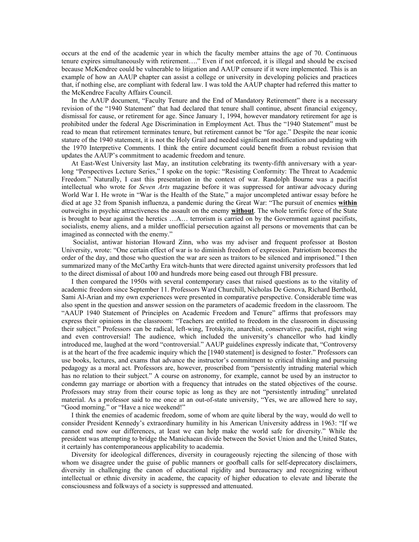occurs at the end of the academic year in which the faculty member attains the age of 70. Continuous tenure expires simultaneously with retirement…." Even if not enforced, it is illegal and should be excised because McKendree could be vulnerable to litigation and AAUP censure if it were implemented. This is an example of how an AAUP chapter can assist a college or university in developing policies and practices that, if nothing else, are compliant with federal law. I was told the AAUP chapter had referred this matter to the McKendree Faculty Affairs Council.

In the AAUP document, "Faculty Tenure and the End of Mandatory Retirement" there is a necessary revision of the "1940 Statement" that had declared that tenure shall continue, absent financial exigency, dismissal for cause, or retirement for age. Since January 1, 1994, however mandatory retirement for age is prohibited under the federal Age Discrimination in Employment Act. Thus the "1940 Statement" must be read to mean that retirement terminates tenure, but retirement cannot be "for age." Despite the near iconic stature of the 1940 statement, it is not the Holy Grail and needed significant modification and updating with the 1970 Interpretive Comments. I think the entire document could benefit from a robust revision that updates the AAUP's commitment to academic freedom and tenure.

At East-West University last May, an institution celebrating its twenty-fifth anniversary with a yearlong "Perspectives Lecture Series," I spoke on the topic: "Resisting Conformity: The Threat to Academic Freedom." Naturally, I cast this presentation in the context of war. Randolph Bourne was a pacifist intellectual who wrote for *Seven Arts* magazine before it was suppressed for antiwar advocacy during World War I. He wrote in "War is the Health of the State," a major uncompleted antiwar essay before he died at age 32 from Spanish influenza, a pandemic during the Great War: "The pursuit of enemies **within**  outweighs in psychic attractiveness the assault on the enemy **without**. The whole terrific force of the State is brought to bear against the heretics …A… terrorism is carried on by the Government against pacifists, socialists, enemy aliens, and a milder unofficial persecution against all persons or movements that can be imagined as connected with the enemy."

 Socialist, antiwar historian Howard Zinn, who was my adviser and frequent professor at Boston University, wrote: "One certain effect of war is to diminish freedom of expression. Patriotism becomes the order of the day, and those who question the war are seen as traitors to be silenced and imprisoned." I then summarized many of the McCarthy Era witch-hunts that were directed against university professors that led to the direct dismissal of about 100 and hundreds more being eased out through FBI pressure.

I then compared the 1950s with several contemporary cases that raised questions as to the vitality of academic freedom since September 11. Professors Ward Churchill, Nicholas De Genova, Richard Berthold, Sami Al-Arian and my own experiences were presented in comparative perspective. Considerable time was also spent in the question and answer session on the parameters of academic freedom in the classroom. The "AAUP 1940 Statement of Principles on Academic Freedom and Tenure" affirms that professors may express their opinions in the classroom: "Teachers are entitled to freedom in the classroom in discussing their subject." Professors can be radical, left-wing, Trotskyite, anarchist, conservative, pacifist, right wing and even controversial! The audience, which included the university's chancellor who had kindly introduced me, laughed at the word "controversial." AAUP guidelines expressly indicate that, "Controversy is at the heart of the free academic inquiry which the [1940 statement] is designed to foster." Professors can use books, lectures, and exams that advance the instructor's commitment to critical thinking and pursuing pedagogy as a moral act. Professors are, however, proscribed from "persistently intruding material which has no relation to their subject." A course on astronomy, for example, cannot be used by an instructor to condemn gay marriage or abortion with a frequency that intrudes on the stated objectives of the course. Professors may stray from their course topic as long as they are not "persistently intruding" unrelated material. As a professor said to me once at an out-of-state university, "Yes, we are allowed here to say, "Good morning." or "Have a nice weekend!"

I think the enemies of academic freedom, some of whom are quite liberal by the way, would do well to consider President Kennedy's extraordinary humility in his American University address in 1963: "If we cannot end now our differences, at least we can help make the world safe for diversity." While the president was attempting to bridge the Manichaean divide between the Soviet Union and the United States, it certainly has contemporaneous applicability to academia.

Diversity for ideological differences, diversity in courageously rejecting the silencing of those with whom we disagree under the guise of public manners or goofball calls for self-deprecatory disclaimers, diversity in challenging the canon of educational rigidity and bureaucracy and recognizing without intellectual or ethnic diversity in academe, the capacity of higher education to elevate and liberate the consciousness and folkways of a society is suppressed and attenuated.